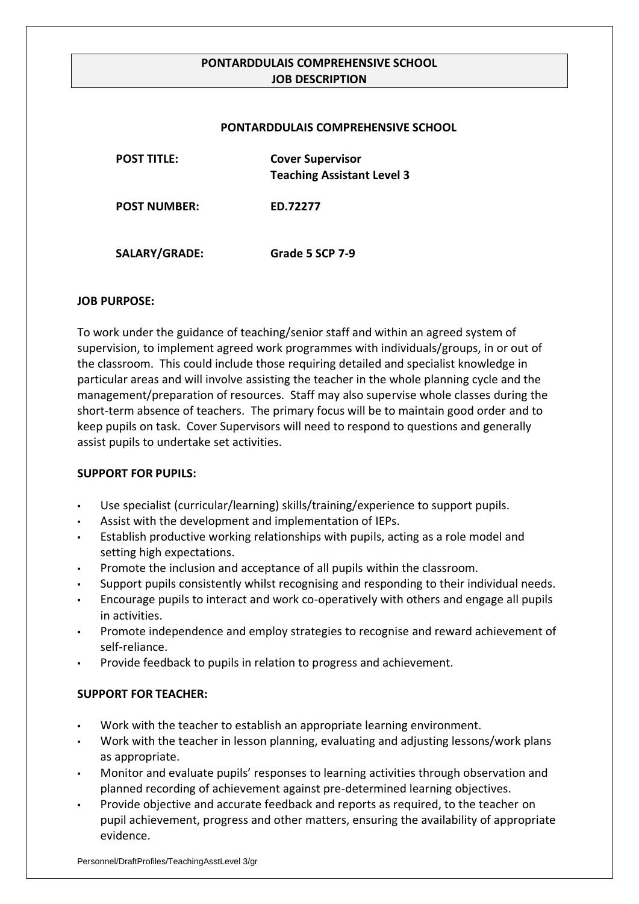### **PONTARDDULAIS COMPREHENSIVE SCHOOL JOB DESCRIPTION**

#### **PONTARDDULAIS COMPREHENSIVE SCHOOL**

| <b>POST TITLE:</b>   | <b>Cover Supervisor</b><br><b>Teaching Assistant Level 3</b> |
|----------------------|--------------------------------------------------------------|
| <b>POST NUMBER:</b>  | ED.72277                                                     |
| <b>SALARY/GRADE:</b> | Grade 5 SCP 7-9                                              |

#### **JOB PURPOSE:**

To work under the guidance of teaching/senior staff and within an agreed system of supervision, to implement agreed work programmes with individuals/groups, in or out of the classroom. This could include those requiring detailed and specialist knowledge in particular areas and will involve assisting the teacher in the whole planning cycle and the management/preparation of resources. Staff may also supervise whole classes during the short-term absence of teachers. The primary focus will be to maintain good order and to keep pupils on task. Cover Supervisors will need to respond to questions and generally assist pupils to undertake set activities.

### **SUPPORT FOR PUPILS:**

- Use specialist (curricular/learning) skills/training/experience to support pupils.
- Assist with the development and implementation of IEPs.
- Establish productive working relationships with pupils, acting as a role model and setting high expectations.
- Promote the inclusion and acceptance of all pupils within the classroom.
- Support pupils consistently whilst recognising and responding to their individual needs.
- Encourage pupils to interact and work co-operatively with others and engage all pupils in activities.
- Promote independence and employ strategies to recognise and reward achievement of self-reliance.
- Provide feedback to pupils in relation to progress and achievement.

### **SUPPORT FOR TEACHER:**

- Work with the teacher to establish an appropriate learning environment.
- Work with the teacher in lesson planning, evaluating and adjusting lessons/work plans as appropriate.
- Monitor and evaluate pupils' responses to learning activities through observation and planned recording of achievement against pre-determined learning objectives.
- Provide objective and accurate feedback and reports as required, to the teacher on pupil achievement, progress and other matters, ensuring the availability of appropriate evidence.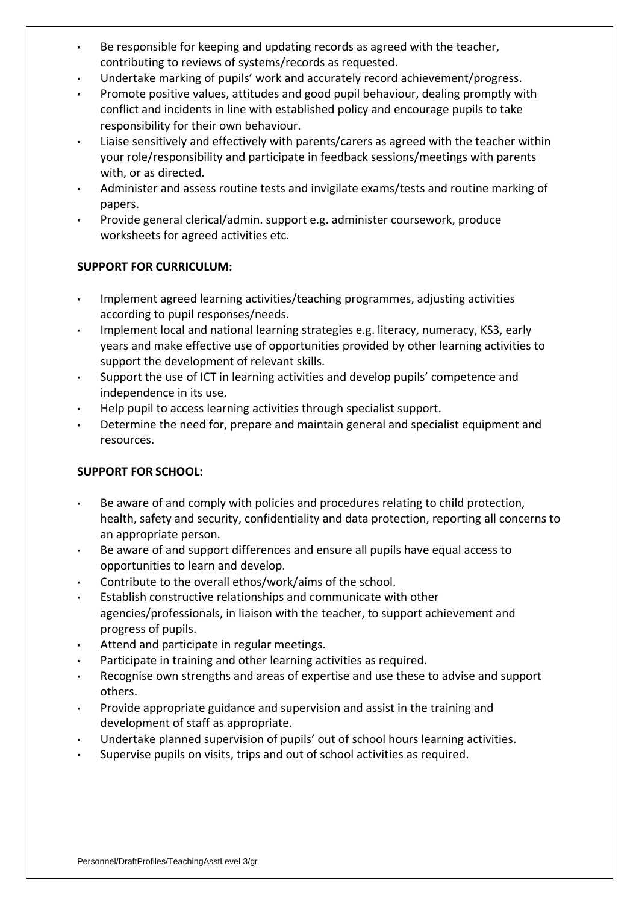- Be responsible for keeping and updating records as agreed with the teacher, contributing to reviews of systems/records as requested.
- Undertake marking of pupils' work and accurately record achievement/progress.
- Promote positive values, attitudes and good pupil behaviour, dealing promptly with conflict and incidents in line with established policy and encourage pupils to take responsibility for their own behaviour.
- Liaise sensitively and effectively with parents/carers as agreed with the teacher within your role/responsibility and participate in feedback sessions/meetings with parents with, or as directed.
- Administer and assess routine tests and invigilate exams/tests and routine marking of papers.
- Provide general clerical/admin. support e.g. administer coursework, produce worksheets for agreed activities etc.

# **SUPPORT FOR CURRICULUM:**

- Implement agreed learning activities/teaching programmes, adjusting activities according to pupil responses/needs.
- Implement local and national learning strategies e.g. literacy, numeracy, KS3, early years and make effective use of opportunities provided by other learning activities to support the development of relevant skills.
- Support the use of ICT in learning activities and develop pupils' competence and independence in its use.
- Help pupil to access learning activities through specialist support.
- Determine the need for, prepare and maintain general and specialist equipment and resources.

# **SUPPORT FOR SCHOOL:**

- Be aware of and comply with policies and procedures relating to child protection, health, safety and security, confidentiality and data protection, reporting all concerns to an appropriate person.
- Be aware of and support differences and ensure all pupils have equal access to opportunities to learn and develop.
- Contribute to the overall ethos/work/aims of the school.
- Establish constructive relationships and communicate with other agencies/professionals, in liaison with the teacher, to support achievement and progress of pupils.
- Attend and participate in regular meetings.
- Participate in training and other learning activities as required.
- Recognise own strengths and areas of expertise and use these to advise and support others.
- Provide appropriate guidance and supervision and assist in the training and development of staff as appropriate.
- Undertake planned supervision of pupils' out of school hours learning activities.
- Supervise pupils on visits, trips and out of school activities as required.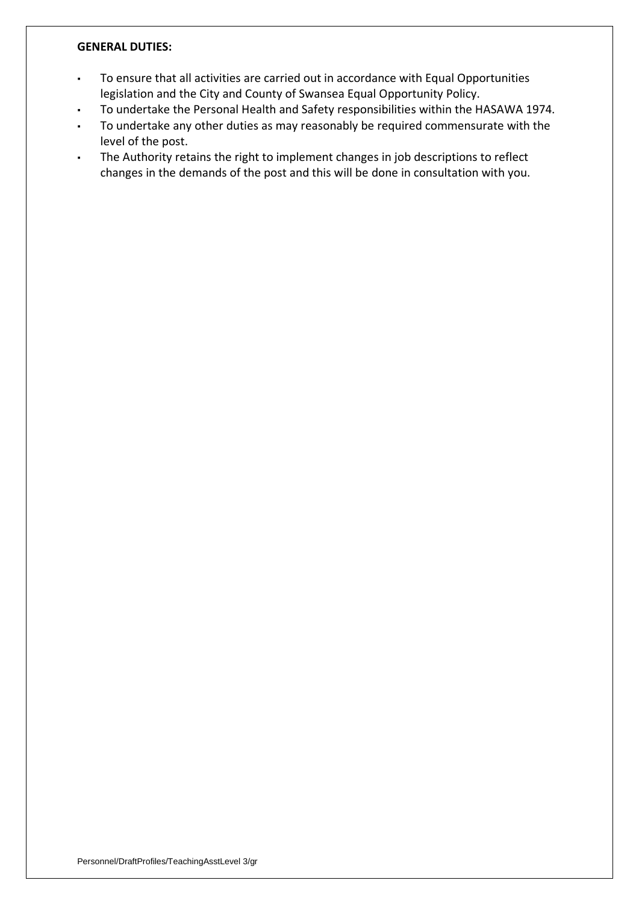#### **GENERAL DUTIES:**

- To ensure that all activities are carried out in accordance with Equal Opportunities legislation and the City and County of Swansea Equal Opportunity Policy.
- To undertake the Personal Health and Safety responsibilities within the HASAWA 1974.
- To undertake any other duties as may reasonably be required commensurate with the level of the post.
- The Authority retains the right to implement changes in job descriptions to reflect changes in the demands of the post and this will be done in consultation with you.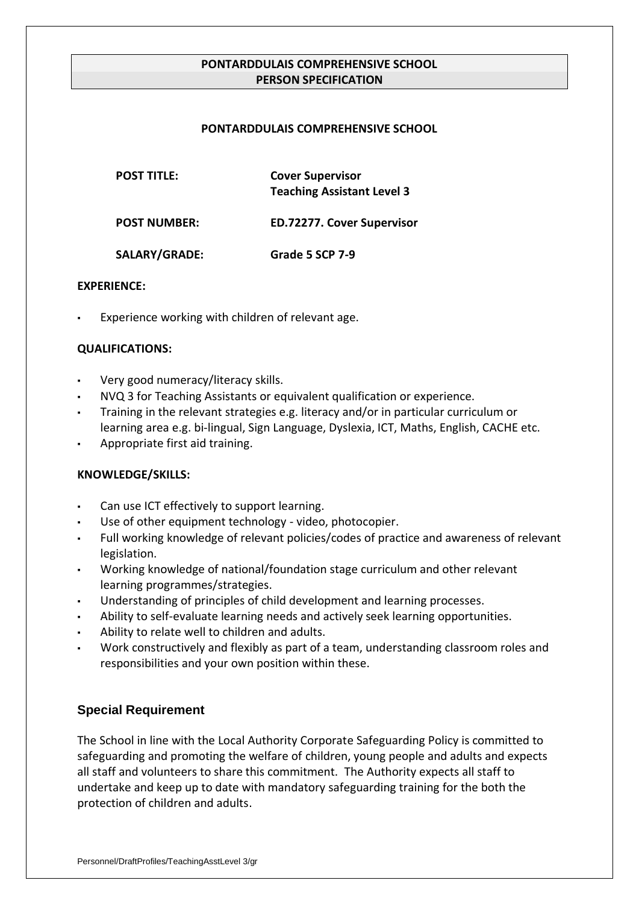### **PONTARDDULAIS COMPREHENSIVE SCHOOL PERSON SPECIFICATION**

### **PONTARDDULAIS COMPREHENSIVE SCHOOL**

| <b>POST TITLE:</b>   | <b>Cover Supervisor</b>           |
|----------------------|-----------------------------------|
|                      | <b>Teaching Assistant Level 3</b> |
| <b>POST NUMBER:</b>  | <b>ED.72277. Cover Supervisor</b> |
| <b>SALARY/GRADE:</b> | Grade 5 SCP 7-9                   |

#### **EXPERIENCE:**

Experience working with children of relevant age.

### **QUALIFICATIONS:**

- Very good numeracy/literacy skills.
- NVQ 3 for Teaching Assistants or equivalent qualification or experience.
- Training in the relevant strategies e.g. literacy and/or in particular curriculum or learning area e.g. bi-lingual, Sign Language, Dyslexia, ICT, Maths, English, CACHE etc.
- Appropriate first aid training.

## **KNOWLEDGE/SKILLS:**

- Can use ICT effectively to support learning.
- Use of other equipment technology video, photocopier.
- Full working knowledge of relevant policies/codes of practice and awareness of relevant legislation.
- Working knowledge of national/foundation stage curriculum and other relevant learning programmes/strategies.
- Understanding of principles of child development and learning processes.
- Ability to self-evaluate learning needs and actively seek learning opportunities.
- Ability to relate well to children and adults.
- Work constructively and flexibly as part of a team, understanding classroom roles and responsibilities and your own position within these.

## **Special Requirement**

The School in line with the Local Authority Corporate Safeguarding Policy is committed to safeguarding and promoting the welfare of children, young people and adults and expects all staff and volunteers to share this commitment. The Authority expects all staff to undertake and keep up to date with mandatory safeguarding training for the both the protection of children and adults.